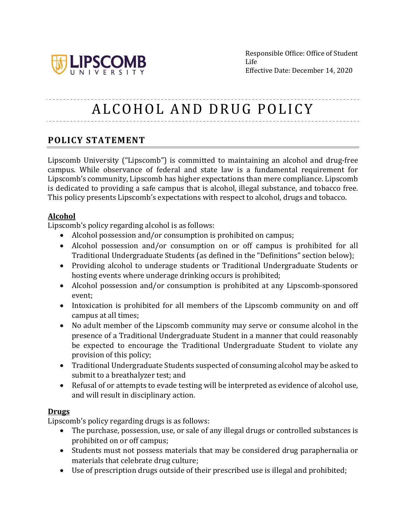

# ALCOHOL AND DRUG POLICY

## **POLICY STATEMENT**

Lipscomb University ("Lipscomb") is committed to maintaining an alcohol and drug-free campus. While observance of federal and state law is a fundamental requirement for Lipscomb's community, Lipscomb has higher expectations than mere compliance. Lipscomb is dedicated to providing a safe campus that is alcohol, illegal substance, and tobacco free. This policy presents Lipscomb's expectations with respect to alcohol, drugs and tobacco.

#### **Alcohol**

Lipscomb's policy regarding alcohol is as follows:

- Alcohol possession and/or consumption is prohibited on campus;
- Alcohol possession and/or consumption on or off campus is prohibited for all Traditional Undergraduate Students (as defined in the "Definitions" section below);
- Providing alcohol to underage students or Traditional Undergraduate Students or hosting events where underage drinking occurs is prohibited;
- Alcohol possession and/or consumption is prohibited at any Lipscomb-sponsored event;
- Intoxication is prohibited for all members of the Lipscomb community on and off campus at all times;
- No adult member of the Lipscomb community may serve or consume alcohol in the presence of a Traditional Undergraduate Student in a manner that could reasonably be expected to encourage the Traditional Undergraduate Student to violate any provision of this policy;
- Traditional Undergraduate Students suspected of consuming alcohol may be asked to submit to a breathalyzer test; and
- Refusal of or attempts to evade testing will be interpreted as evidence of alcohol use, and will result in disciplinary action.

#### **Drugs**

Lipscomb's policy regarding drugs is as follows:

- The purchase, possession, use, or sale of any illegal drugs or controlled substances is prohibited on or off campus;
- Students must not possess materials that may be considered drug paraphernalia or materials that celebrate drug culture;
- Use of prescription drugs outside of their prescribed use is illegal and prohibited;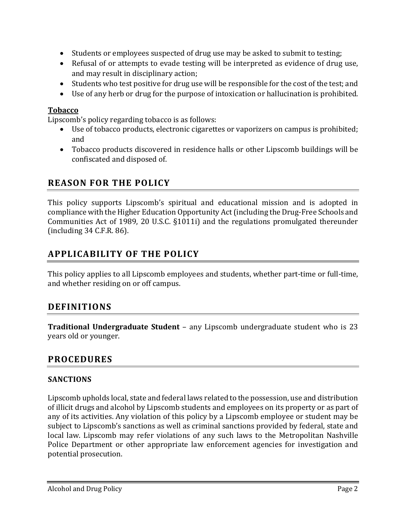- Students or employees suspected of drug use may be asked to submit to testing;
- Refusal of or attempts to evade testing will be interpreted as evidence of drug use, and may result in disciplinary action;
- Students who test positive for drug use will be responsible for the cost of the test; and
- Use of any herb or drug for the purpose of intoxication or hallucination is prohibited.

#### **Tobacco**

Lipscomb's policy regarding tobacco is as follows:

- Use of tobacco products, electronic cigarettes or vaporizers on campus is prohibited; and
- Tobacco products discovered in residence halls or other Lipscomb buildings will be confiscated and disposed of.

# **REASON FOR THE POLICY**

This policy supports Lipscomb's spiritual and educational mission and is adopted in compliance with the Higher Education Opportunity Act (including the Drug-Free Schools and Communities Act of 1989, 20 U.S.C.  $\S 1011i$  and the regulations promulgated thereunder  $(including 34 C.F.R. 86)$ .

# **APPLICABILITY OF THE POLICY**

This policy applies to all Lipscomb employees and students, whether part-time or full-time, and whether residing on or off campus.

# **DEFINITIONS**

**Traditional Undergraduate Student** – any Lipscomb undergraduate student who is 23 years old or younger.

## **PROCEDURES**

#### **SANCTIONS**

Lipscomb upholds local, state and federal laws related to the possession, use and distribution of illicit drugs and alcohol by Lipscomb students and employees on its property or as part of any of its activities. Any violation of this policy by a Lipscomb employee or student may be subject to Lipscomb's sanctions as well as criminal sanctions provided by federal, state and local law. Lipscomb may refer violations of any such laws to the Metropolitan Nashville Police Department or other appropriate law enforcement agencies for investigation and potential prosecution.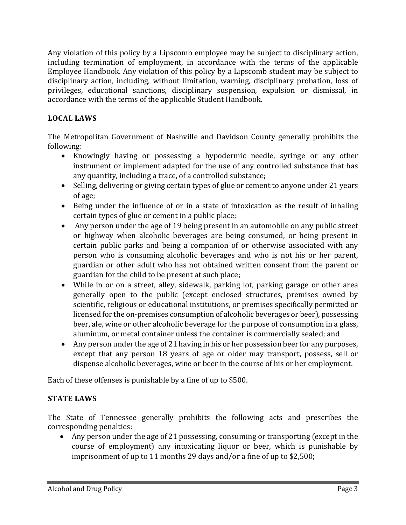Any violation of this policy by a Lipscomb employee may be subject to disciplinary action, including termination of employment, in accordance with the terms of the applicable Employee Handbook. Any violation of this policy by a Lipscomb student may be subject to disciplinary action, including, without limitation, warning, disciplinary probation, loss of privileges, educational sanctions, disciplinary suspension, expulsion or dismissal, in accordance with the terms of the applicable Student Handbook.

## **LOCAL LAWS**

The Metropolitan Government of Nashville and Davidson County generally prohibits the following:

- Knowingly having or possessing a hypodermic needle, syringe or any other instrument or implement adapted for the use of any controlled substance that has any quantity, including a trace, of a controlled substance;
- Selling, delivering or giving certain types of glue or cement to anyone under 21 years of age;
- Being under the influence of or in a state of intoxication as the result of inhaling certain types of glue or cement in a public place;
- Any person under the age of 19 being present in an automobile on any public street or highway when alcoholic beverages are being consumed, or being present in certain public parks and being a companion of or otherwise associated with any person who is consuming alcoholic beverages and who is not his or her parent, guardian or other adult who has not obtained written consent from the parent or guardian for the child to be present at such place;
- While in or on a street, alley, sidewalk, parking lot, parking garage or other area generally open to the public (except enclosed structures, premises owned by scientific, religious or educational institutions, or premises specifically permitted or licensed for the on-premises consumption of alcoholic beverages or beer), possessing beer, ale, wine or other alcoholic beverage for the purpose of consumption in a glass, aluminum, or metal container unless the container is commercially sealed; and
- Any person under the age of 21 having in his or her possession beer for any purposes, except that any person 18 years of age or older may transport, possess, sell or dispense alcoholic beverages, wine or beer in the course of his or her employment.

Each of these offenses is punishable by a fine of up to \$500.

## **STATE LAWS**

The State of Tennessee generally prohibits the following acts and prescribes the corresponding penalties:

• Any person under the age of 21 possessing, consuming or transporting (except in the course of employment) any intoxicating liquor or beer, which is punishable by imprisonment of up to 11 months 29 days and/or a fine of up to  $$2,500$ ;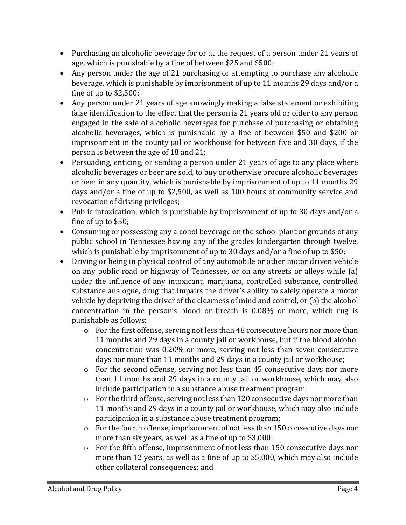- Purchasing an alcoholic beverage for or at the request of a person under 21 years of age, which is punishable by a fine of between  $$25$  and  $$500$ ;
- Any person under the age of 21 purchasing or attempting to purchase any alcoholic beverage, which is punishable by imprisonment of up to 11 months 29 days and/or a fine of up to  $$2,500$ ;
- Any person under 21 years of age knowingly making a false statement or exhibiting false identification to the effect that the person is 21 years old or older to any person engaged in the sale of alcoholic beverages for purchase of purchasing or obtaining alcoholic beverages, which is punishable by a fine of between \$50 and \$200 or imprisonment in the county jail or workhouse for between five and 30 days, if the person is between the age of 18 and 21;
- Persuading, enticing, or sending a person under 21 years of age to any place where alcoholic beverages or beer are sold, to buy or otherwise procure alcoholic beverages or beer in any quantity, which is punishable by imprisonment of up to 11 months 29 days and/or a fine of up to \$2,500, as well as 100 hours of community service and revocation of driving privileges;
- Public intoxication, which is punishable by imprisonment of up to 30 days and/or a fine of up to  $$50$ ;
- Consuming or possessing any alcohol beverage on the school plant or grounds of any public school in Tennessee having any of the grades kindergarten through twelve, which is punishable by imprisonment of up to 30 days and/or a fine of up to \$50;
- Driving or being in physical control of any automobile or other motor driven vehicle on any public road or highway of Tennessee, or on any streets or alleys while (a) under the influence of any intoxicant, marijuana, controlled substance, controlled substance analogue, drug that impairs the driver's ability to safely operate a motor vehicle by depriving the driver of the clearness of mind and control, or  $(b)$  the alcohol concentration in the person's blood or breath is  $0.08\%$  or more, which rug is punishable as follows:
	- $\circ$  For the first offense, serving not less than 48 consecutive hours nor more than 11 months and 29 days in a county jail or workhouse, but if the blood alcohol concentration was 0.20% or more, serving not less than seven consecutive days nor more than 11 months and 29 days in a county jail or workhouse;
	- $\circ$  For the second offense, serving not less than 45 consecutive days nor more than 11 months and 29 days in a county jail or workhouse, which may also include participation in a substance abuse treatment program;
	- $\circ$  For the third offense, serving not less than 120 consecutive days nor more than 11 months and 29 days in a county jail or workhouse, which may also include participation in a substance abuse treatment program;
	- $\circ$  For the fourth offense, imprisonment of not less than 150 consecutive days nor more than six years, as well as a fine of up to  $$3,000$ ;
	- $\circ$  For the fifth offense, imprisonment of not less than 150 consecutive days nor more than 12 years, as well as a fine of up to \$5,000, which may also include other collateral consequences; and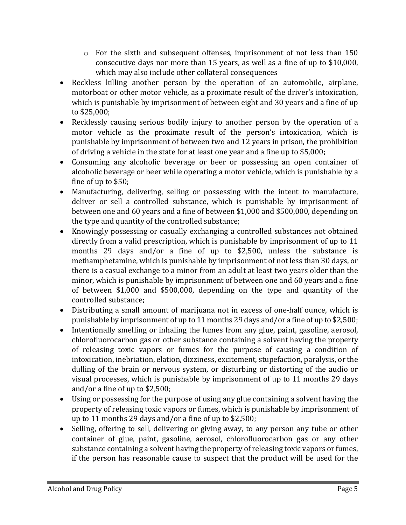- $\circ$  For the sixth and subsequent offenses, imprisonment of not less than 150 consecutive days nor more than 15 years, as well as a fine of up to  $$10,000$ , which may also include other collateral consequences
- Reckless killing another person by the operation of an automobile, airplane, motorboat or other motor vehicle, as a proximate result of the driver's intoxication, which is punishable by imprisonment of between eight and 30 years and a fine of up to \$25,000;
- Recklessly causing serious bodily injury to another person by the operation of a motor vehicle as the proximate result of the person's intoxication, which is punishable by imprisonment of between two and 12 years in prison, the prohibition of driving a vehicle in the state for at least one year and a fine up to  $$5,000$ ;
- Consuming any alcoholic beverage or beer or possessing an open container of alcoholic beverage or beer while operating a motor vehicle, which is punishable by a fine of up to  $$50$ ;
- Manufacturing, delivering, selling or possessing with the intent to manufacture, deliver or sell a controlled substance, which is punishable by imprisonment of between one and 60 years and a fine of between \$1,000 and \$500,000, depending on the type and quantity of the controlled substance;
- Knowingly possessing or casually exchanging a controlled substances not obtained directly from a valid prescription, which is punishable by imprisonment of up to  $11$ months 29 days and/or a fine of up to  $$2,500$ , unless the substance is methamphetamine, which is punishable by imprisonment of not less than 30 days, or there is a casual exchange to a minor from an adult at least two years older than the minor, which is punishable by imprisonment of between one and 60 years and a fine of between \$1,000 and \$500,000, depending on the type and quantity of the controlled substance;
- Distributing a small amount of marijuana not in excess of one-half ounce, which is punishable by imprisonment of up to 11 months 29 days and/or a fine of up to \$2,500;
- Intentionally smelling or inhaling the fumes from any glue, paint, gasoline, aerosol, chlorofluorocarbon gas or other substance containing a solvent having the property of releasing toxic vapors or fumes for the purpose of causing a condition of intoxication, inebriation, elation, dizziness, excitement, stupefaction, paralysis, or the dulling of the brain or nervous system, or disturbing or distorting of the audio or visual processes, which is punishable by imprisonment of up to 11 months 29 days and/or a fine of up to  $$2,500$ ;
- Using or possessing for the purpose of using any glue containing a solvent having the property of releasing toxic vapors or fumes, which is punishable by imprisonment of up to 11 months 29 days and/or a fine of up to  $$2,500$ ;
- Selling, offering to sell, delivering or giving away, to any person any tube or other container of glue, paint, gasoline, aerosol, chlorofluorocarbon gas or any other substance containing a solvent having the property of releasing toxic vapors or fumes, if the person has reasonable cause to suspect that the product will be used for the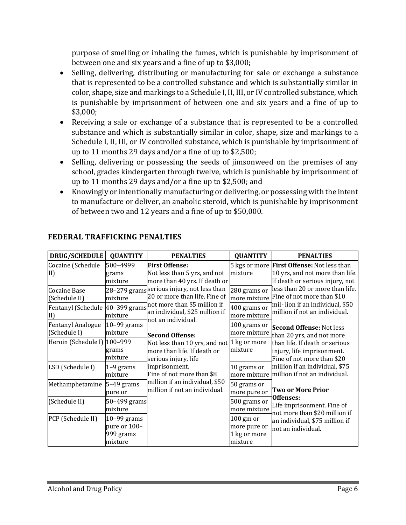purpose of smelling or inhaling the fumes, which is punishable by imprisonment of between one and six years and a fine of up to \$3,000;

- Selling, delivering, distributing or manufacturing for sale or exchange a substance that is represented to be a controlled substance and which is substantially similar in color, shape, size and markings to a Schedule I, II, III, or IV controlled substance, which is punishable by imprisonment of between one and six years and a fine of up to \$3,000;
- Receiving a sale or exchange of a substance that is represented to be a controlled substance and which is substantially similar in color, shape, size and markings to a Schedule I, II, III, or IV controlled substance, which is punishable by imprisonment of up to 11 months 29 days and/or a fine of up to  $$2,500$ ;
- Selling, delivering or possessing the seeds of jimsonweed on the premises of any school, grades kindergarten through twelve, which is punishable by imprisonment of up to 11 months 29 days and/or a fine up to  $$2,500$ ; and
- Knowingly or intentionally manufacturing or delivering, or possessing with the intent to manufacture or deliver, an anabolic steroid, which is punishable by imprisonment of between two and 12 years and a fine of up to \$50,000.

| <b>DRUG/SCHEDULE</b>                     | <b>QUANTITY</b>                                       | <b>PENALTIES</b>                                                                                                                                                                                                                                                                                                                                 | <b>QUANTITY</b>                                        | <b>PENALTIES</b>                                                                                                                                                                                                                                                                                                                                                   |
|------------------------------------------|-------------------------------------------------------|--------------------------------------------------------------------------------------------------------------------------------------------------------------------------------------------------------------------------------------------------------------------------------------------------------------------------------------------------|--------------------------------------------------------|--------------------------------------------------------------------------------------------------------------------------------------------------------------------------------------------------------------------------------------------------------------------------------------------------------------------------------------------------------------------|
| Cocaine (Schedule<br>[II]                | 500-4999<br>grams<br>mixture                          | <b>First Offense:</b><br>Not less than 5 yrs, and not<br>more than 40 yrs. If death or                                                                                                                                                                                                                                                           | mixture                                                | 5 kgs or more <b>First Offense:</b> Not less than<br>10 yrs, and not more than life.<br>If death or serious injury, not                                                                                                                                                                                                                                            |
| Cocaine Base<br>(Schedule II)            | mixture                                               | 28–279 grams serious injury, not less than<br>20 or more than life. Fine of<br>not more than \$5 million if<br>an individual, \$25 million if<br>not an individual.<br><b>Second Offense:</b><br>Not less than 10 yrs, and not 1 kg or more<br>more than life. If death or<br>serious injury, life<br>imprisonment.<br>Fine of not more than \$8 | 280 grams or<br>more mixture                           | less than 20 or more than life.<br>Fine of not more than \$10<br>mil-lion if an individual, \$50<br>million if not an individual.<br><b>Second Offense: Not less</b><br>than 20 yrs, and not more<br>than life. If death or serious<br>injury, life imprisonment.<br>Fine of not more than \$20<br>million if an individual, \$75<br>million if not an individual. |
| Fentanyl (Schedule 40-399 grams<br>II)   | mixture                                               |                                                                                                                                                                                                                                                                                                                                                  | 400 grams or<br>more mixture                           |                                                                                                                                                                                                                                                                                                                                                                    |
| <b>Fentanyl Analogue</b><br>(Schedule I) | $10-99$ grams<br>mixture                              |                                                                                                                                                                                                                                                                                                                                                  | 100 grams or<br>more mixture                           |                                                                                                                                                                                                                                                                                                                                                                    |
| Heroin (Schedule I) 100-999              | grams<br>mixture                                      |                                                                                                                                                                                                                                                                                                                                                  | mixture                                                |                                                                                                                                                                                                                                                                                                                                                                    |
| LSD (Schedule I)                         | 1-9 grams<br>mixture                                  |                                                                                                                                                                                                                                                                                                                                                  | 10 grams or<br>more mixture                            |                                                                                                                                                                                                                                                                                                                                                                    |
| Methamphetamine                          | $5-49$ grams<br>pure or                               | million if an individual, \$50<br>million if not an individual.                                                                                                                                                                                                                                                                                  | 50 grams or<br>more pure or                            | <b>Two or More Prior</b>                                                                                                                                                                                                                                                                                                                                           |
| (Schedule II)                            | 50-499 grams<br>mixture                               |                                                                                                                                                                                                                                                                                                                                                  | 500 grams or<br>more mixture                           | Offenses:<br>Life imprisonment. Fine of<br>not more than \$20 million if                                                                                                                                                                                                                                                                                           |
| PCP (Schedule II)                        | $10-99$ grams<br>pure or 100-<br>999 grams<br>mixture |                                                                                                                                                                                                                                                                                                                                                  | $100$ gm or<br>more pure or<br>1 kg or more<br>mixture | an individual, \$75 million if<br>not an individual.                                                                                                                                                                                                                                                                                                               |

## **FEDERAL TRAFFICKING PENALTIES**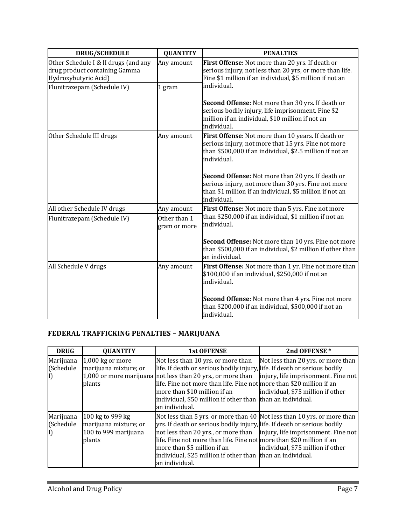| <b>DRUG/SCHEDULE</b>                                                                          | <b>QUANTITY</b>              | <b>PENALTIES</b>                                                                                                                                                                        |  |
|-----------------------------------------------------------------------------------------------|------------------------------|-----------------------------------------------------------------------------------------------------------------------------------------------------------------------------------------|--|
| Other Schedule I & II drugs (and any<br>drug product containing Gamma<br>Hydroxybutyric Acid) | Any amount                   | First Offense: Not more than 20 yrs. If death or<br>serious injury, not less than 20 yrs, or more than life.<br>Fine \$1 million if an individual, \$5 million if not an<br>individual. |  |
| Flunitrazepam (Schedule IV)                                                                   | 1 gram                       |                                                                                                                                                                                         |  |
|                                                                                               |                              | Second Offense: Not more than 30 yrs. If death or<br>serious bodily injury, life imprisonment. Fine \$2<br>million if an individual, \$10 million if not an<br>individual.              |  |
| Other Schedule III drugs                                                                      | Any amount                   | First Offense: Not more than 10 years. If death or<br>serious injury, not more that 15 yrs. Fine not more<br>than \$500,000 if an individual, \$2.5 million if not an<br>individual.    |  |
|                                                                                               |                              | Second Offense: Not more than 20 yrs. If death or<br>serious injury, not more than 30 yrs. Fine not more<br>than \$1 million if an individual, \$5 million if not an<br>individual.     |  |
| All other Schedule IV drugs                                                                   | Any amount                   | First Offense: Not more than 5 yrs. Fine not more                                                                                                                                       |  |
| Flunitrazepam (Schedule IV)                                                                   | Other than 1<br>gram or more | than \$250,000 if an individual, \$1 million if not an<br>individual.                                                                                                                   |  |
|                                                                                               |                              | Second Offense: Not more than 10 yrs. Fine not more<br>than \$500,000 if an individual, \$2 million if other than<br>an individual.                                                     |  |
| All Schedule V drugs                                                                          | Any amount                   | First Offense: Not more than 1 yr. Fine not more than<br>\$100,000 if an individual, \$250,000 if not an<br>individual.                                                                 |  |
|                                                                                               |                              | Second Offense: Not more than 4 yrs. Fine not more<br>than \$200,000 if an individual, \$500,000 if not an<br>individual.                                                               |  |

# **FEDERAL TRAFFICKING PENALTIES – MARIJUANA**

| <b>DRUG</b>                   | <b>QUANTITY</b>                                                             | <b>1st OFFENSE</b>                                                                                                                                                                                                                                                                                                                                                                                                                                 | 2nd OFFENSE*                      |
|-------------------------------|-----------------------------------------------------------------------------|----------------------------------------------------------------------------------------------------------------------------------------------------------------------------------------------------------------------------------------------------------------------------------------------------------------------------------------------------------------------------------------------------------------------------------------------------|-----------------------------------|
| Marijuana<br>(Schedule<br>II) | 1,000 kg or more<br>marijuana mixture; or<br>plants                         | Not less than 10 yrs. or more than Not less than 20 yrs. or more than<br>life. If death or serious bodily injury, life. If death or serious bodily<br>1,000 or more marijuana not less than 20 yrs., or more than $\ $ injury, life imprisonment. Fine not<br>life. Fine not more than life. Fine not more than \$20 million if an<br>more than \$10 million if an<br>individual, \$50 million if other than than an individual.<br>an individual. | individual, \$75 million if other |
| Marijuana<br>(Schedule<br>I)  | 100 kg to 999 kg<br>marijuana mixture; or<br>100 to 999 marijuana<br>plants | Not less than 5 yrs. or more than 40 Not less than 10 yrs. or more than<br>yrs. If death or serious bodily injury, life. If death or serious bodily<br>not less than 20 yrs., or more than   injury, life imprisonment. Fine not<br>life. Fine not more than life. Fine not more than \$20 million if an<br>more than \$5 million if an<br>individual, \$25 million if other than than an individual.<br>an individual.                            | individual, \$75 million if other |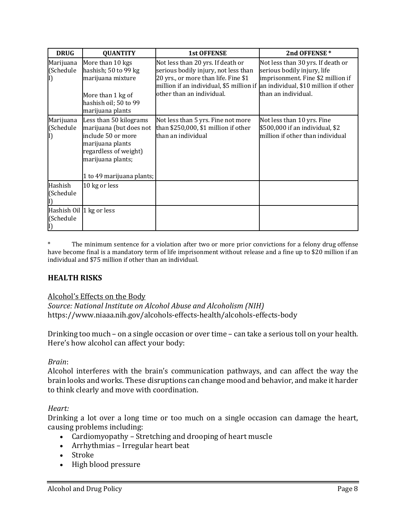| <b>DRUG</b>                           | <b>QUANTITY</b>                                                                                                                                                        | <b>1st OFFENSE</b>                                                                                                                                                                                                              | 2nd OFFENSE*                                                                                                                 |
|---------------------------------------|------------------------------------------------------------------------------------------------------------------------------------------------------------------------|---------------------------------------------------------------------------------------------------------------------------------------------------------------------------------------------------------------------------------|------------------------------------------------------------------------------------------------------------------------------|
| Marijuana<br>(Schedule                | More than 10 kgs<br>hashish; 50 to 99 kg<br>marijuana mixture<br>More than 1 kg of<br>hashish oil; 50 to 99<br>marijuana plants                                        | Not less than 20 yrs. If death or<br>serious bodily injury, not less than<br>20 yrs., or more than life. Fine \$1<br>million if an individual, \$5 million if an individual, \$10 million if other<br>other than an individual. | Not less than 30 yrs. If death or<br>serious bodily injury, life<br>imprisonment. Fine \$2 million if<br>than an individual. |
| Marijuana<br>(Schedule                | Less than 50 kilograms<br>marijuana (but does not<br>include 50 or more<br>marijuana plants<br>regardless of weight)<br>marijuana plants;<br>1 to 49 marijuana plants; | Not less than 5 yrs. Fine not more<br>than \$250,000, \$1 million if other<br>than an individual                                                                                                                                | Not less than 10 yrs. Fine<br>\$500,000 if an individual, \$2<br>million if other than individual                            |
| Hashish<br>(Schedule                  | 10 kg or less                                                                                                                                                          |                                                                                                                                                                                                                                 |                                                                                                                              |
| Hashish Oil 1 kg or less<br>(Schedule |                                                                                                                                                                        |                                                                                                                                                                                                                                 |                                                                                                                              |

The minimum sentence for a violation after two or more prior convictions for a felony drug offense have become final is a mandatory term of life imprisonment without release and a fine up to \$20 million if an individual and \$75 million if other than an individual.

#### **HEALTH RISKS**

Alcohol's Effects on the Body

Source: National Institute on Alcohol Abuse and Alcoholism (NIH) https://www.niaaa.nih.gov/alcohols-effects-health/alcohols-effects-body

Drinking too much – on a single occasion or over time – can take a serious toll on your health. Here's how alcohol can affect your body:

#### *Brain*:

Alcohol interferes with the brain's communication pathways, and can affect the way the brain looks and works. These disruptions can change mood and behavior, and make it harder to think clearly and move with coordination.

#### *Heart:*

Drinking a lot over a long time or too much on a single occasion can damage the heart, causing problems including:

- Cardiomyopathy Stretching and drooping of heart muscle
- Arrhythmias Irregular heart beat
- Stroke
- High blood pressure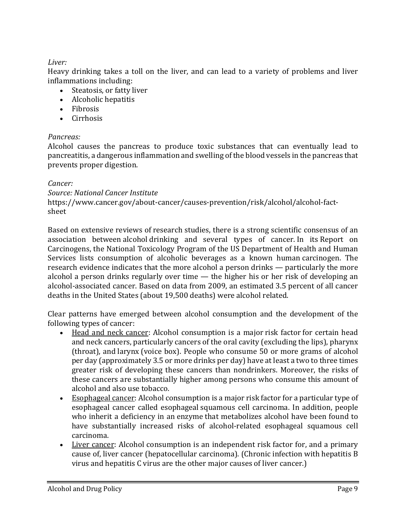#### *Liver:*

Heavy drinking takes a toll on the liver, and can lead to a variety of problems and liver inflammations including:

- Steatosis, or fatty liver
- Alcoholic hepatitis
- Fibrosis
- Cirrhosis

#### *Pancreas:*

Alcohol causes the pancreas to produce toxic substances that can eventually lead to pancreatitis, a dangerous inflammation and swelling of the blood vessels in the pancreas that prevents proper digestion.

#### *Cancer:*

*Source: National Cancer Institute*

https://www.cancer.gov/about-cancer/causes-prevention/risk/alcohol/alcohol-factsheet

Based on extensive reviews of research studies, there is a strong scientific consensus of an association between alcohol drinking and several types of cancer. In its Report on Carcinogens, the National Toxicology Program of the US Department of Health and Human Services lists consumption of alcoholic beverages as a known human carcinogen. The research evidence indicates that the more alcohol a person drinks  $-$  particularly the more alcohol a person drinks regularly over time  $-$  the higher his or her risk of developing an alcohol-associated cancer. Based on data from 2009, an estimated 3.5 percent of all cancer deaths in the United States (about 19,500 deaths) were alcohol related.

Clear patterns have emerged between alcohol consumption and the development of the following types of cancer:

- Head and neck cancer: Alcohol consumption is a major risk factor for certain head and neck cancers, particularly cancers of the oral cavity (excluding the lips), pharynx (throat), and larynx (voice box). People who consume 50 or more grams of alcohol per day (approximately 3.5 or more drinks per day) have at least a two to three times greater risk of developing these cancers than nondrinkers. Moreover, the risks of these cancers are substantially higher among persons who consume this amount of alcohol and also use tobacco.
- Esophageal cancer: Alcohol consumption is a major risk factor for a particular type of esophageal cancer called esophageal squamous cell carcinoma. In addition, people who inherit a deficiency in an enzyme that metabolizes alcohol have been found to have substantially increased risks of alcohol-related esophageal squamous cell carcinoma.
- Liver cancer: Alcohol consumption is an independent risk factor for, and a primary cause of, liver cancer (hepatocellular carcinoma). (Chronic infection with hepatitis B virus and hepatitis C virus are the other major causes of liver cancer.)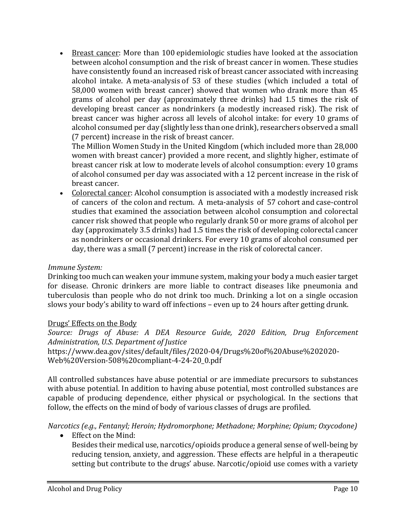• Breast cancer: More than 100 epidemiologic studies have looked at the association between alcohol consumption and the risk of breast cancer in women. These studies have consistently found an increased risk of breast cancer associated with increasing alcohol intake. A meta-analysis of 53 of these studies (which included a total of 58,000 women with breast cancer) showed that women who drank more than 45 grams of alcohol per day (approximately three drinks) had 1.5 times the risk of developing breast cancer as nondrinkers (a modestly increased risk). The risk of breast cancer was higher across all levels of alcohol intake: for every 10 grams of alcohol consumed per day (slightly less than one drink), researchers observed a small (7 percent) increase in the risk of breast cancer.

The Million Women Study in the United Kingdom (which included more than 28,000 women with breast cancer) provided a more recent, and slightly higher, estimate of breast cancer risk at low to moderate levels of alcohol consumption: every 10 grams of alcohol consumed per day was associated with a 12 percent increase in the risk of breast cancer.

• Colorectal cancer: Alcohol consumption is associated with a modestly increased risk of cancers of the colon and rectum. A meta-analysis of 57 cohort and case-control studies that examined the association between alcohol consumption and colorectal cancer risk showed that people who regularly drank 50 or more grams of alcohol per day (approximately 3.5 drinks) had 1.5 times the risk of developing colorectal cancer as nondrinkers or occasional drinkers. For every 10 grams of alcohol consumed per day, there was a small (7 percent) increase in the risk of colorectal cancer.

#### *Immune System:*

Drinking too much can weaken your immune system, making your body a much easier target for disease. Chronic drinkers are more liable to contract diseases like pneumonia and tuberculosis than people who do not drink too much. Drinking a lot on a single occasion slows your body's ability to ward off infections - even up to 24 hours after getting drunk.

#### Drugs' Effects on the Body

Source: Drugs of Abuse: A DEA Resource Guide, 2020 Edition, Drug Enforcement *Administration, U.S. Department of Justice* https://www.dea.gov/sites/default/files/2020-04/Drugs%20of%20Abuse%202020- Web%20Version-508%20compliant-4-24-20\_0.pdf

All controlled substances have abuse potential or are immediate precursors to substances with abuse potential. In addition to having abuse potential, most controlled substances are capable of producing dependence, either physical or psychological. In the sections that follow, the effects on the mind of body of various classes of drugs are profiled.

*Narcotics (e.g., Fentanyl; Heroin; Hydromorphone; Methadone; Morphine; Opium; Oxycodone)* 

• Effect on the Mind:

Besides their medical use, narcotics/opioids produce a general sense of well-being by reducing tension, anxiety, and aggression. These effects are helpful in a therapeutic setting but contribute to the drugs' abuse. Narcotic/opioid use comes with a variety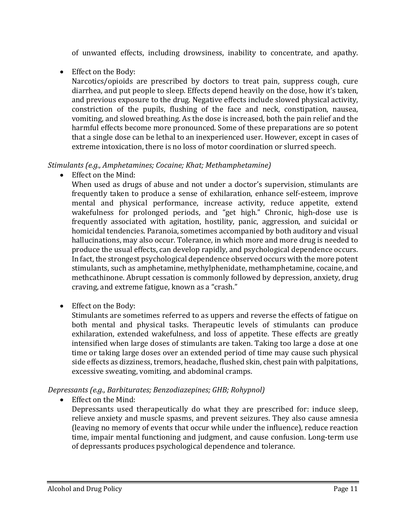of unwanted effects, including drowsiness, inability to concentrate, and apathy.

• Effect on the Body:

Narcotics/opioids are prescribed by doctors to treat pain, suppress cough, cure diarrhea, and put people to sleep. Effects depend heavily on the dose, how it's taken, and previous exposure to the drug. Negative effects include slowed physical activity, constriction of the pupils, flushing of the face and neck, constipation, nausea, vomiting, and slowed breathing. As the dose is increased, both the pain relief and the harmful effects become more pronounced. Some of these preparations are so potent that a single dose can be lethal to an inexperienced user. However, except in cases of extreme intoxication, there is no loss of motor coordination or slurred speech.

#### *Stimulants (e.g., Amphetamines; Cocaine; Khat; Methamphetamine)*

• Effect on the Mind:

When used as drugs of abuse and not under a doctor's supervision, stimulants are frequently taken to produce a sense of exhilaration, enhance self-esteem, improve mental and physical performance, increase activity, reduce appetite, extend wakefulness for prolonged periods, and "get high." Chronic, high-dose use is frequently associated with agitation, hostility, panic, aggression, and suicidal or homicidal tendencies. Paranoia, sometimes accompanied by both auditory and visual hallucinations, may also occur. Tolerance, in which more and more drug is needed to produce the usual effects, can develop rapidly, and psychological dependence occurs. In fact, the strongest psychological dependence observed occurs with the more potent stimulants, such as amphetamine, methylphenidate, methamphetamine, cocaine, and methcathinone. Abrupt cessation is commonly followed by depression, anxiety, drug craving, and extreme fatigue, known as a "crash."

• Effect on the Body:

Stimulants are sometimes referred to as uppers and reverse the effects of fatigue on both mental and physical tasks. Therapeutic levels of stimulants can produce exhilaration, extended wakefulness, and loss of appetite. These effects are greatly intensified when large doses of stimulants are taken. Taking too large a dose at one time or taking large doses over an extended period of time may cause such physical side effects as dizziness, tremors, headache, flushed skin, chest pain with palpitations, excessive sweating, vomiting, and abdominal cramps.

*Depressants* (e.g., Barbiturates; Benzodiazepines; GHB; Rohypnol)

• Effect on the Mind:

Depressants used therapeutically do what they are prescribed for: induce sleep, relieve anxiety and muscle spasms, and prevent seizures. They also cause amnesia (leaving no memory of events that occur while under the influence), reduce reaction time, impair mental functioning and judgment, and cause confusion. Long-term use of depressants produces psychological dependence and tolerance.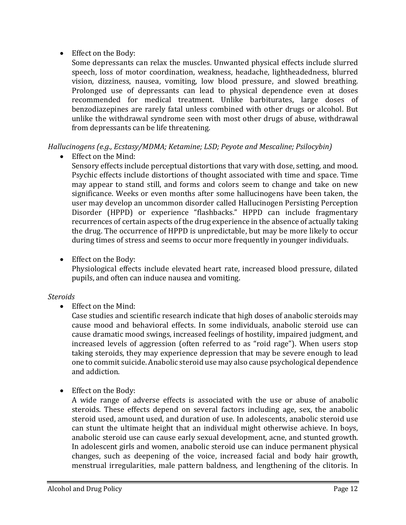• Effect on the Body:

Some depressants can relax the muscles. Unwanted physical effects include slurred speech, loss of motor coordination, weakness, headache, lightheadedness, blurred vision, dizziness, nausea, vomiting, low blood pressure, and slowed breathing. Prolonged use of depressants can lead to physical dependence even at doses recommended for medical treatment. Unlike barbiturates, large doses of benzodiazepines are rarely fatal unless combined with other drugs or alcohol. But unlike the withdrawal syndrome seen with most other drugs of abuse, withdrawal from depressants can be life threatening.

#### *Hallucinogens* (e.g., *Ecstasy/MDMA; Ketamine; LSD; Peyote and Mescaline; Psilocybin)*

• Effect on the Mind:

Sensory effects include perceptual distortions that vary with dose, setting, and mood. Psychic effects include distortions of thought associated with time and space. Time may appear to stand still, and forms and colors seem to change and take on new significance. Weeks or even months after some hallucinogens have been taken, the user may develop an uncommon disorder called Hallucinogen Persisting Perception Disorder (HPPD) or experience "flashbacks." HPPD can include fragmentary recurrences of certain aspects of the drug experience in the absence of actually taking the drug. The occurrence of HPPD is unpredictable, but may be more likely to occur during times of stress and seems to occur more frequently in younger individuals.

• Effect on the Body:

Physiological effects include elevated heart rate, increased blood pressure, dilated pupils, and often can induce nausea and vomiting.

#### *Steroids*

• Effect on the Mind:

Case studies and scientific research indicate that high doses of anabolic steroids may cause mood and behavioral effects. In some individuals, anabolic steroid use can cause dramatic mood swings, increased feelings of hostility, impaired judgment, and increased levels of aggression (often referred to as "roid rage"). When users stop taking steroids, they may experience depression that may be severe enough to lead one to commit suicide. Anabolic steroid use may also cause psychological dependence and addiction.

• Effect on the Body:

A wide range of adverse effects is associated with the use or abuse of anabolic steroids. These effects depend on several factors including age, sex, the anabolic steroid used, amount used, and duration of use. In adolescents, anabolic steroid use can stunt the ultimate height that an individual might otherwise achieve. In boys, anabolic steroid use can cause early sexual development, acne, and stunted growth. In adolescent girls and women, anabolic steroid use can induce permanent physical changes, such as deepening of the voice, increased facial and body hair growth, menstrual irregularities, male pattern baldness, and lengthening of the clitoris. In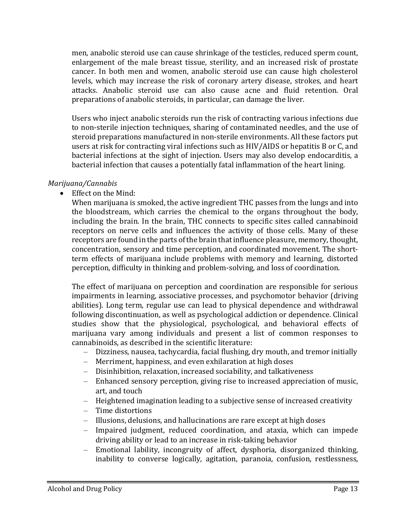men, anabolic steroid use can cause shrinkage of the testicles, reduced sperm count, enlargement of the male breast tissue, sterility, and an increased risk of prostate cancer. In both men and women, anabolic steroid use can cause high cholesterol levels, which may increase the risk of coronary artery disease, strokes, and heart attacks. Anabolic steroid use can also cause acne and fluid retention. Oral preparations of anabolic steroids, in particular, can damage the liver.

Users who inject anabolic steroids run the risk of contracting various infections due to non-sterile injection techniques, sharing of contaminated needles, and the use of steroid preparations manufactured in non-sterile environments. All these factors put users at risk for contracting viral infections such as HIV/AIDS or hepatitis B or C, and bacterial infections at the sight of injection. Users may also develop endocarditis, a bacterial infection that causes a potentially fatal inflammation of the heart lining.

#### *Marijuana/Cannabis*

• Effect on the Mind:

When marijuana is smoked, the active ingredient THC passes from the lungs and into the bloodstream, which carries the chemical to the organs throughout the body, including the brain. In the brain, THC connects to specific sites called cannabinoid receptors on nerve cells and influences the activity of those cells. Many of these receptors are found in the parts of the brain that influence pleasure, memory, thought, concentration, sensory and time perception, and coordinated movement. The shortterm effects of marijuana include problems with memory and learning, distorted perception, difficulty in thinking and problem-solving, and loss of coordination.

The effect of marijuana on perception and coordination are responsible for serious impairments in learning, associative processes, and psychomotor behavior (driving abilities). Long term, regular use can lead to physical dependence and withdrawal following discontinuation, as well as psychological addiction or dependence. Clinical studies show that the physiological, psychological, and behavioral effects of marijuana vary among individuals and present a list of common responses to cannabinoids, as described in the scientific literature:

- Dizziness, nausea, tachycardia, facial flushing, dry mouth, and tremor initially
- $-$  Merriment, happiness, and even exhilaration at high doses
- Disinhibition, relaxation, increased sociability, and talkativeness
- Enhanced sensory perception, giving rise to increased appreciation of music, art, and touch
- $-$  Heightened imagination leading to a subjective sense of increased creativity
- Time distortions
- $-$  Illusions, delusions, and hallucinations are rare except at high doses
- Impaired judgment, reduced coordination, and ataxia, which can impede driving ability or lead to an increase in risk-taking behavior
- Emotional lability, incongruity of affect, dysphoria, disorganized thinking, inability to converse logically, agitation, paranoia, confusion, restlessness,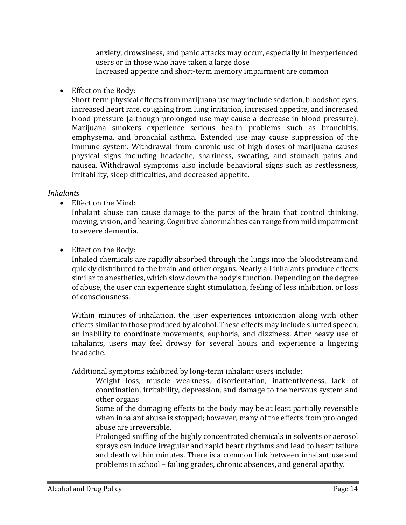anxiety, drowsiness, and panic attacks may occur, especially in inexperienced users or in those who have taken a large dose

- Increased appetite and short-term memory impairment are common
- Effect on the Body:

Short-term physical effects from marijuana use may include sedation, bloodshot eyes, increased heart rate, coughing from lung irritation, increased appetite, and increased blood pressure (although prolonged use may cause a decrease in blood pressure). Marijuana smokers experience serious health problems such as bronchitis, emphysema, and bronchial asthma. Extended use may cause suppression of the immune system. Withdrawal from chronic use of high doses of marijuana causes physical signs including headache, shakiness, sweating, and stomach pains and nausea. Withdrawal symptoms also include behavioral signs such as restlessness, irritability, sleep difficulties, and decreased appetite.

#### *Inhalants*

• Effect on the Mind:

Inhalant abuse can cause damage to the parts of the brain that control thinking, moving, vision, and hearing. Cognitive abnormalities can range from mild impairment to severe dementia.

• Effect on the Body:

Inhaled chemicals are rapidly absorbed through the lungs into the bloodstream and quickly distributed to the brain and other organs. Nearly all inhalants produce effects similar to anesthetics, which slow down the body's function. Depending on the degree of abuse, the user can experience slight stimulation, feeling of less inhibition, or loss of consciousness.

Within minutes of inhalation, the user experiences intoxication along with other effects similar to those produced by alcohol. These effects may include slurred speech, an inability to coordinate movements, euphoria, and dizziness. After heavy use of inhalants, users may feel drowsy for several hours and experience a lingering headache. 

Additional symptoms exhibited by long-term inhalant users include:

- Weight loss, muscle weakness, disorientation, inattentiveness, lack of coordination, irritability, depression, and damage to the nervous system and other organs
- $-$  Some of the damaging effects to the body may be at least partially reversible when inhalant abuse is stopped; however, many of the effects from prolonged abuse are irreversible.
- Prolonged sniffing of the highly concentrated chemicals in solvents or aerosol sprays can induce irregular and rapid heart rhythms and lead to heart failure and death within minutes. There is a common link between inhalant use and problems in school – failing grades, chronic absences, and general apathy.